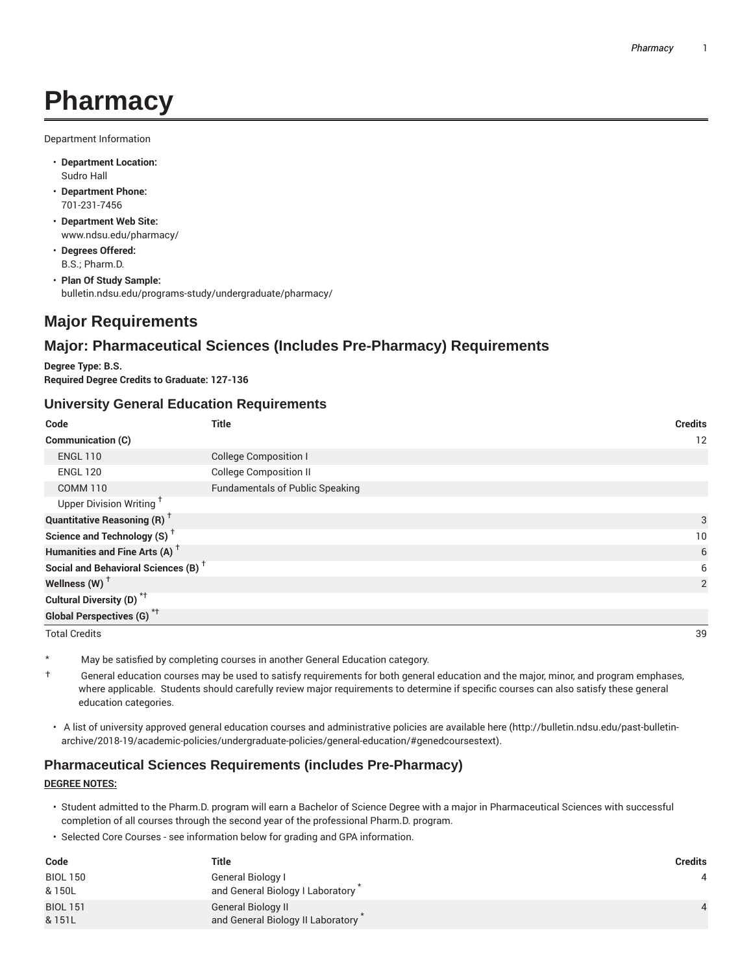# **Pharmacy**

Department Information

- **Department Location:** Sudro Hall
- **Department Phone:** 701-231-7456
- **Department Web Site:** www.ndsu.edu/pharmacy/
- **Degrees Offered:** B.S.; Pharm.D.
- **Plan Of Study Sample:** bulletin.ndsu.edu/programs-study/undergraduate/pharmacy/

# **Major Requirements**

## **Major: Pharmaceutical Sciences (Includes Pre-Pharmacy) Requirements**

**Degree Type: B.S. Required Degree Credits to Graduate: 127-136**

#### **University General Education Requirements**

| Code                                                 | <b>Title</b>                           | <b>Credits</b> |
|------------------------------------------------------|----------------------------------------|----------------|
| Communication (C)                                    |                                        | 12             |
| <b>ENGL 110</b>                                      | <b>College Composition I</b>           |                |
| <b>ENGL 120</b>                                      | <b>College Composition II</b>          |                |
| <b>COMM 110</b>                                      | <b>Fundamentals of Public Speaking</b> |                |
| Upper Division Writing <sup>+</sup>                  |                                        |                |
| <b>Quantitative Reasoning (R)</b> <sup>†</sup>       |                                        | 3              |
| Science and Technology (S) <sup><math>†</math></sup> |                                        | 10             |
| Humanities and Fine Arts (A) <sup>+</sup>            |                                        | 6              |
| Social and Behavioral Sciences (B) <sup>+</sup>      |                                        | 6              |
| Wellness (W) $^{\dagger}$                            |                                        | 2              |
| Cultural Diversity (D) <sup>*†</sup>                 |                                        |                |
| <b>Global Perspectives (G)</b> <sup>*†</sup>         |                                        |                |

Total Credits 39

\* May be satisfied by completing courses in another General Education category.

- $\dagger$  General education courses may be used to satisfy requirements for both general education and the major, minor, and program emphases, where applicable. Students should carefully review major requirements to determine if specific courses can also satisfy these general education categories.
- A list of university approved general education courses and administrative policies are available here (http://bulletin.ndsu.edu/past-bulletinarchive/2018-19/academic-policies/undergraduate-policies/general-education/#genedcoursestext).

## **Pharmaceutical Sciences Requirements (includes Pre-Pharmacy)**

#### **DEGREE NOTES:**

- Student admitted to the Pharm.D. program will earn a Bachelor of Science Degree with a major in Pharmaceutical Sciences with successful completion of all courses through the second year of the professional Pharm.D. program.
- Selected Core Courses see information below for grading and GPA information.

| Code            | <b>Title</b>                      | <b>Credits</b> |
|-----------------|-----------------------------------|----------------|
| <b>BIOL 150</b> | General Biology I                 |                |
| & 150L          | and General Biology I Laboratory  |                |
| <b>BIOL 151</b> | General Biology II                |                |
| & 151L          | and General Biology II Laboratory |                |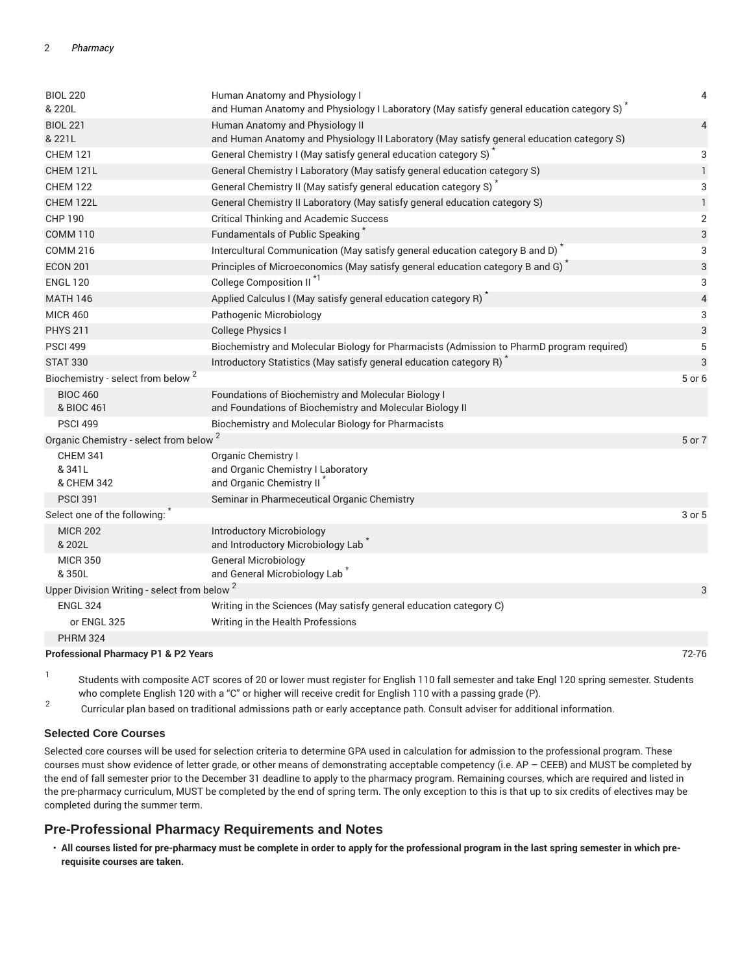| <b>BIOL 220</b><br>& 220L                               | Human Anatomy and Physiology I<br>and Human Anatomy and Physiology I Laboratory (May satisfy general education category S) | 4                        |
|---------------------------------------------------------|----------------------------------------------------------------------------------------------------------------------------|--------------------------|
| <b>BIOL 221</b>                                         | Human Anatomy and Physiology II                                                                                            | $\overline{4}$           |
| & 221L                                                  | and Human Anatomy and Physiology II Laboratory (May satisfy general education category S)                                  |                          |
| <b>CHEM 121</b>                                         | General Chemistry I (May satisfy general education category S)                                                             | 3                        |
| CHEM 121L                                               | General Chemistry I Laboratory (May satisfy general education category S)                                                  | $\mathbf{1}$             |
| <b>CHEM 122</b>                                         | General Chemistry II (May satisfy general education category S)                                                            | 3                        |
| CHEM 122L                                               | General Chemistry II Laboratory (May satisfy general education category S)                                                 | $\mathbf{1}$             |
| <b>CHP 190</b>                                          | <b>Critical Thinking and Academic Success</b>                                                                              | 2                        |
| <b>COMM 110</b>                                         | Fundamentals of Public Speaking                                                                                            | 3                        |
| <b>COMM 216</b>                                         | Intercultural Communication (May satisfy general education category B and D) <sup>*</sup>                                  | 3                        |
| <b>ECON 201</b>                                         | Principles of Microeconomics (May satisfy general education category B and G) <sup>*</sup>                                 | 3                        |
| <b>ENGL 120</b>                                         | College Composition II <sup>*1</sup>                                                                                       | 3                        |
| <b>MATH 146</b>                                         | Applied Calculus I (May satisfy general education category R)                                                              | $\overline{\mathcal{A}}$ |
| <b>MICR 460</b>                                         | Pathogenic Microbiology                                                                                                    | 3                        |
| <b>PHYS 211</b>                                         | <b>College Physics I</b>                                                                                                   | 3                        |
| <b>PSCI 499</b>                                         | Biochemistry and Molecular Biology for Pharmacists (Admission to PharmD program required)                                  | 5                        |
| <b>STAT 330</b>                                         | Introductory Statistics (May satisfy general education category R) <sup>*</sup>                                            | 3                        |
| Biochemistry - select from below <sup>2</sup>           |                                                                                                                            | 5 or 6                   |
| <b>BIOC 460</b>                                         | Foundations of Biochemistry and Molecular Biology I                                                                        |                          |
| & BIOC 461                                              | and Foundations of Biochemistry and Molecular Biology II                                                                   |                          |
| <b>PSCI 499</b>                                         | Biochemistry and Molecular Biology for Pharmacists                                                                         |                          |
| Organic Chemistry - select from below <sup>2</sup>      |                                                                                                                            | 5 or 7                   |
| <b>CHEM 341</b>                                         | Organic Chemistry I                                                                                                        |                          |
| & 341L                                                  | and Organic Chemistry I Laboratory                                                                                         |                          |
| & CHEM 342                                              | and Organic Chemistry II <sup>*</sup>                                                                                      |                          |
| <b>PSCI 391</b>                                         | Seminar in Pharmeceutical Organic Chemistry                                                                                |                          |
| Select one of the following:                            |                                                                                                                            | 3 or 5                   |
| <b>MICR 202</b><br>& 202L                               | Introductory Microbiology<br>and Introductory Microbiology Lab <sup>®</sup>                                                |                          |
| <b>MICR 350</b>                                         | <b>General Microbiology</b>                                                                                                |                          |
| &350L                                                   | and General Microbiology Lab <sup>*</sup>                                                                                  |                          |
| Upper Division Writing - select from below <sup>2</sup> |                                                                                                                            | 3                        |
| <b>ENGL 324</b>                                         | Writing in the Sciences (May satisfy general education category C)                                                         |                          |
| or ENGL 325                                             | Writing in the Health Professions                                                                                          |                          |
| <b>PHRM 324</b>                                         |                                                                                                                            |                          |
| <b>Professional Pharmacy P1 &amp; P2 Vears</b>          |                                                                                                                            | 72-76                    |

**Professional Pharmacy P1 & P2 Years** 72-76

1 Students with composite ACT scores of 20 or lower must register for English 110 fall semester and take Engl 120 spring semester. Students who complete English 120 with a "C" or higher will receive credit for English 110 with a passing grade (P).

2 Curricular plan based on traditional admissions path or early acceptance path. Consult adviser for additional information.

#### **Selected Core Courses**

Selected core courses will be used for selection criteria to determine GPA used in calculation for admission to the professional program. These courses must show evidence of letter grade, or other means of demonstrating acceptable competency (i.e. AP - CEEB) and MUST be completed by the end of fall semester prior to the December 31 deadline to apply to the pharmacy program. Remaining courses, which are required and listed in the pre-pharmacy curriculum, MUST be completed by the end of spring term. The only exception to this is that up to six credits of electives may be completed during the summer term.

#### **Pre-Professional Pharmacy Requirements and Notes**

• **All courses listed for pre-pharmacy must be complete in order to apply for the professional program in the last spring semester in which prerequisite courses are taken.**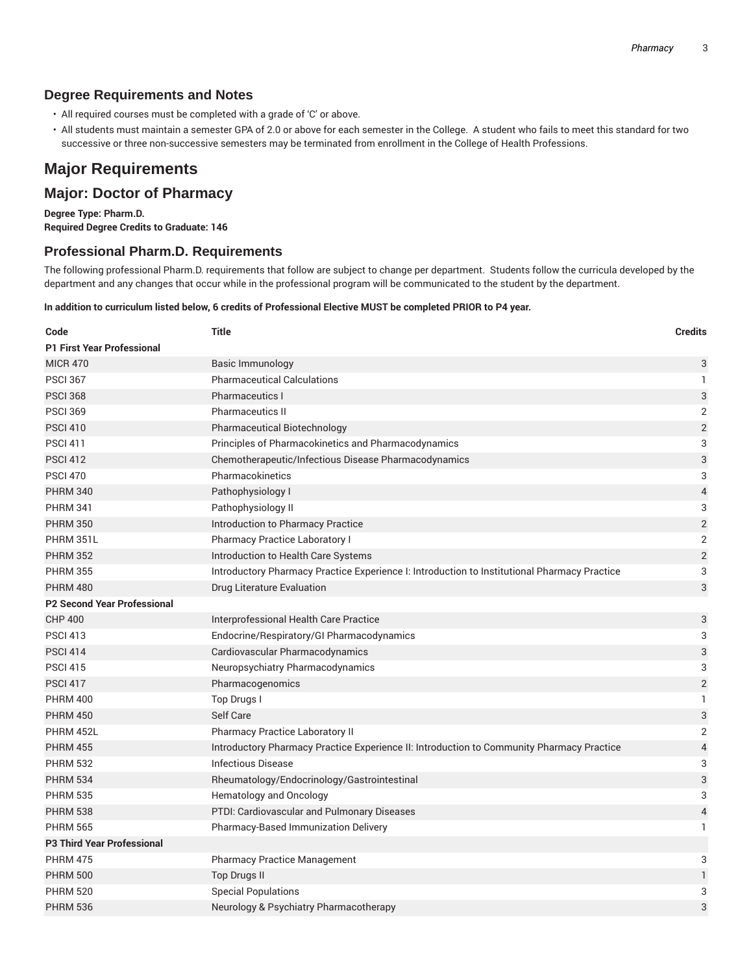## **Degree Requirements and Notes**

- All required courses must be completed with a grade of 'C' or above.
- All students must maintain a semester GPA of 2.0 or above for each semester in the College. A student who fails to meet this standard for two successive or three non-successive semesters may be terminated from enrollment in the College of Health Professions.

# **Major Requirements**

## **Major: Doctor of Pharmacy**

**Degree Type: Pharm.D. Required Degree Credits to Graduate: 146**

### **Professional Pharm.D. Requirements**

The following professional Pharm.D. requirements that follow are subject to change per department. Students follow the curricula developed by the department and any changes that occur while in the professional program will be communicated to the student by the department.

#### In addition to curriculum listed below, 6 credits of Professional Elective MUST be completed PRIOR to P4 year.

| Code                               | <b>Title</b>                                                                                 | <b>Credits</b>            |
|------------------------------------|----------------------------------------------------------------------------------------------|---------------------------|
| <b>P1 First Year Professional</b>  |                                                                                              |                           |
| <b>MICR 470</b>                    | <b>Basic Immunology</b>                                                                      | 3                         |
| <b>PSCI 367</b>                    | <b>Pharmaceutical Calculations</b>                                                           | $\mathbf{1}$              |
| <b>PSCI 368</b>                    | <b>Pharmaceutics I</b>                                                                       | 3                         |
| <b>PSCI 369</b>                    | <b>Pharmaceutics II</b>                                                                      | 2                         |
| <b>PSCI 410</b>                    | Pharmaceutical Biotechnology                                                                 | $\overline{2}$            |
| <b>PSCI 411</b>                    | Principles of Pharmacokinetics and Pharmacodynamics                                          | 3                         |
| <b>PSCI 412</b>                    | Chemotherapeutic/Infectious Disease Pharmacodynamics                                         | 3                         |
| <b>PSCI 470</b>                    | Pharmacokinetics                                                                             | 3                         |
| <b>PHRM 340</b>                    | Pathophysiology I                                                                            | $\overline{\mathcal{L}}$  |
| <b>PHRM 341</b>                    | Pathophysiology II                                                                           | 3                         |
| <b>PHRM 350</b>                    | Introduction to Pharmacy Practice                                                            | $\sqrt{2}$                |
| PHRM 351L                          | <b>Pharmacy Practice Laboratory I</b>                                                        | 2                         |
| <b>PHRM 352</b>                    | Introduction to Health Care Systems                                                          | $\overline{c}$            |
| <b>PHRM 355</b>                    | Introductory Pharmacy Practice Experience I: Introduction to Institutional Pharmacy Practice | 3                         |
| <b>PHRM 480</b>                    | Drug Literature Evaluation                                                                   | 3                         |
| <b>P2 Second Year Professional</b> |                                                                                              |                           |
| <b>CHP 400</b>                     | Interprofessional Health Care Practice                                                       | 3                         |
| <b>PSCI 413</b>                    | Endocrine/Respiratory/GI Pharmacodynamics                                                    | 3                         |
| <b>PSCI 414</b>                    | Cardiovascular Pharmacodynamics                                                              | 3                         |
| <b>PSCI 415</b>                    | Neuropsychiatry Pharmacodynamics                                                             | 3                         |
| <b>PSCI 417</b>                    | Pharmacogenomics                                                                             | $\overline{2}$            |
| <b>PHRM 400</b>                    | Top Drugs I                                                                                  | 1                         |
| <b>PHRM 450</b>                    | Self Care                                                                                    | $\ensuremath{\mathsf{3}}$ |
| PHRM 452L                          | Pharmacy Practice Laboratory II                                                              | 2                         |
| <b>PHRM 455</b>                    | Introductory Pharmacy Practice Experience II: Introduction to Community Pharmacy Practice    | $\overline{\mathcal{L}}$  |
| <b>PHRM 532</b>                    | <b>Infectious Disease</b>                                                                    | 3                         |
| <b>PHRM 534</b>                    | Rheumatology/Endocrinology/Gastrointestinal                                                  | 3                         |
| <b>PHRM 535</b>                    | Hematology and Oncology                                                                      | 3                         |
| <b>PHRM 538</b>                    | PTDI: Cardiovascular and Pulmonary Diseases                                                  | $\overline{\mathcal{L}}$  |
| <b>PHRM 565</b>                    | Pharmacy-Based Immunization Delivery                                                         | 1.                        |
| <b>P3 Third Year Professional</b>  |                                                                                              |                           |
| <b>PHRM 475</b>                    | <b>Pharmacy Practice Management</b>                                                          | 3                         |
| <b>PHRM 500</b>                    | <b>Top Drugs II</b>                                                                          | 1                         |
| <b>PHRM 520</b>                    | <b>Special Populations</b>                                                                   | 3                         |
| <b>PHRM 536</b>                    | Neurology & Psychiatry Pharmacotherapy                                                       | 3                         |